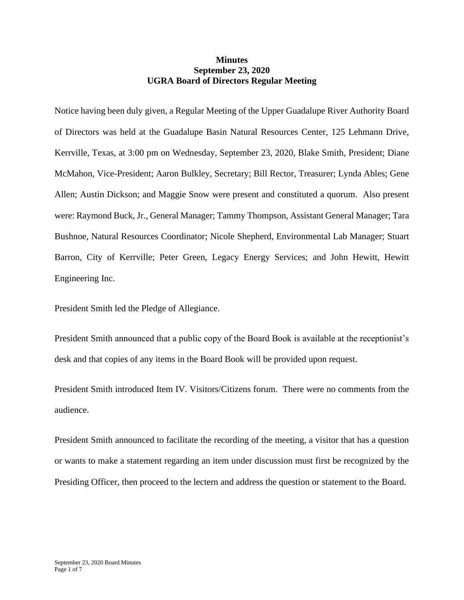## **Minutes September 23, 2020 UGRA Board of Directors Regular Meeting**

Notice having been duly given, a Regular Meeting of the Upper Guadalupe River Authority Board of Directors was held at the Guadalupe Basin Natural Resources Center, 125 Lehmann Drive, Kerrville, Texas, at 3:00 pm on Wednesday, September 23, 2020, Blake Smith, President; Diane McMahon, Vice-President; Aaron Bulkley, Secretary; Bill Rector, Treasurer; Lynda Ables; Gene Allen; Austin Dickson; and Maggie Snow were present and constituted a quorum. Also present were: Raymond Buck, Jr., General Manager; Tammy Thompson, Assistant General Manager; Tara Bushnoe, Natural Resources Coordinator; Nicole Shepherd, Environmental Lab Manager; Stuart Barron, City of Kerrville; Peter Green, Legacy Energy Services; and John Hewitt, Hewitt Engineering Inc.

President Smith led the Pledge of Allegiance.

President Smith announced that a public copy of the Board Book is available at the receptionist's desk and that copies of any items in the Board Book will be provided upon request.

President Smith introduced Item IV. Visitors/Citizens forum. There were no comments from the audience.

President Smith announced to facilitate the recording of the meeting, a visitor that has a question or wants to make a statement regarding an item under discussion must first be recognized by the Presiding Officer, then proceed to the lectern and address the question or statement to the Board.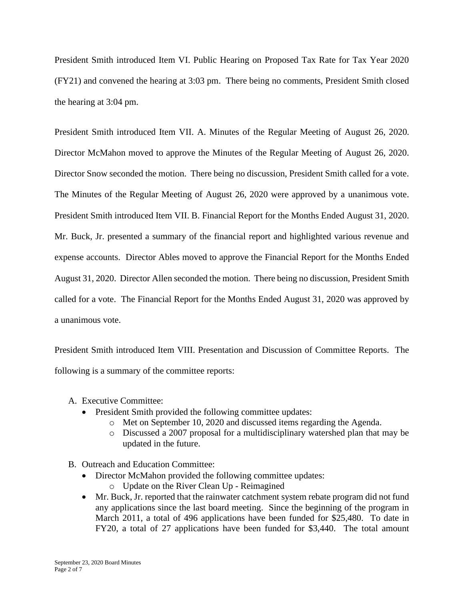President Smith introduced Item VI. Public Hearing on Proposed Tax Rate for Tax Year 2020 (FY21) and convened the hearing at 3:03 pm. There being no comments, President Smith closed the hearing at 3:04 pm.

President Smith introduced Item VII. A. Minutes of the Regular Meeting of August 26, 2020. Director McMahon moved to approve the Minutes of the Regular Meeting of August 26, 2020. Director Snow seconded the motion. There being no discussion, President Smith called for a vote. The Minutes of the Regular Meeting of August 26, 2020 were approved by a unanimous vote. President Smith introduced Item VII. B. Financial Report for the Months Ended August 31, 2020. Mr. Buck, Jr. presented a summary of the financial report and highlighted various revenue and expense accounts. Director Ables moved to approve the Financial Report for the Months Ended August 31, 2020. Director Allen seconded the motion. There being no discussion, President Smith called for a vote. The Financial Report for the Months Ended August 31, 2020 was approved by a unanimous vote.

President Smith introduced Item VIII. Presentation and Discussion of Committee Reports. The following is a summary of the committee reports:

- A. Executive Committee:
	- President Smith provided the following committee updates:
		- o Met on September 10, 2020 and discussed items regarding the Agenda.
		- o Discussed a 2007 proposal for a multidisciplinary watershed plan that may be updated in the future.
- B. Outreach and Education Committee:
	- Director McMahon provided the following committee updates:
		- o Update on the River Clean Up Reimagined
	- Mr. Buck, Jr. reported that the rainwater catchment system rebate program did not fund any applications since the last board meeting. Since the beginning of the program in March 2011, a total of 496 applications have been funded for \$25,480. To date in FY20, a total of 27 applications have been funded for \$3,440. The total amount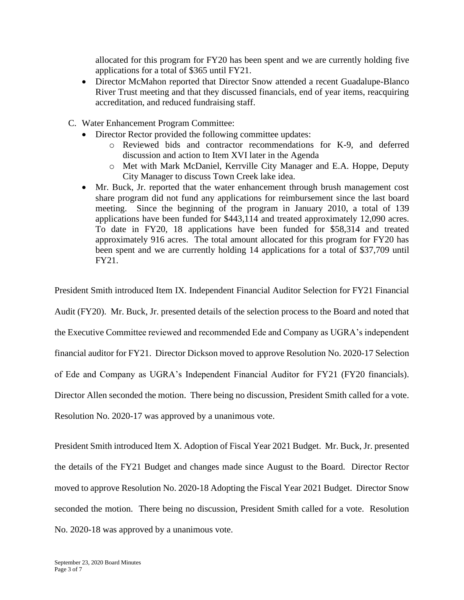allocated for this program for FY20 has been spent and we are currently holding five applications for a total of \$365 until FY21.

- Director McMahon reported that Director Snow attended a recent Guadalupe-Blanco River Trust meeting and that they discussed financials, end of year items, reacquiring accreditation, and reduced fundraising staff.
- C. Water Enhancement Program Committee:
	- Director Rector provided the following committee updates:
		- o Reviewed bids and contractor recommendations for K-9, and deferred discussion and action to Item XVI later in the Agenda
		- o Met with Mark McDaniel, Kerrville City Manager and E.A. Hoppe, Deputy City Manager to discuss Town Creek lake idea.
	- Mr. Buck, Jr. reported that the water enhancement through brush management cost share program did not fund any applications for reimbursement since the last board meeting. Since the beginning of the program in January 2010, a total of 139 applications have been funded for \$443,114 and treated approximately 12,090 acres. To date in FY20, 18 applications have been funded for \$58,314 and treated approximately 916 acres. The total amount allocated for this program for FY20 has been spent and we are currently holding 14 applications for a total of \$37,709 until FY21.

President Smith introduced Item IX. Independent Financial Auditor Selection for FY21 Financial

Audit (FY20). Mr. Buck, Jr. presented details of the selection process to the Board and noted that

the Executive Committee reviewed and recommended Ede and Company as UGRA's independent

financial auditor for FY21. Director Dickson moved to approve Resolution No. 2020-17 Selection

of Ede and Company as UGRA's Independent Financial Auditor for FY21 (FY20 financials).

Director Allen seconded the motion. There being no discussion, President Smith called for a vote.

Resolution No. 2020-17 was approved by a unanimous vote.

President Smith introduced Item X. Adoption of Fiscal Year 2021 Budget. Mr. Buck, Jr. presented the details of the FY21 Budget and changes made since August to the Board. Director Rector moved to approve Resolution No. 2020-18 Adopting the Fiscal Year 2021 Budget. Director Snow seconded the motion. There being no discussion, President Smith called for a vote. Resolution No. 2020-18 was approved by a unanimous vote.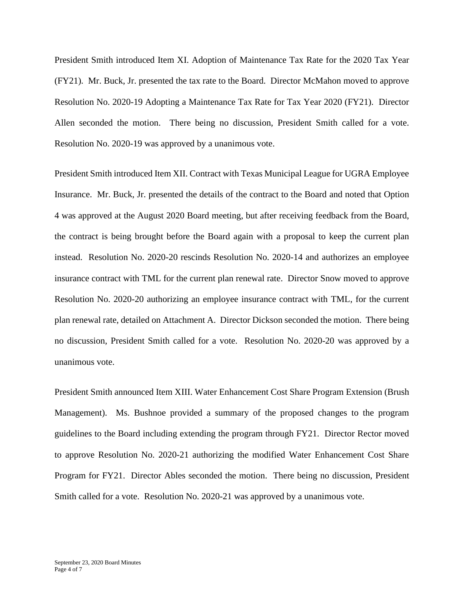President Smith introduced Item XI. Adoption of Maintenance Tax Rate for the 2020 Tax Year (FY21). Mr. Buck, Jr. presented the tax rate to the Board. Director McMahon moved to approve Resolution No. 2020-19 Adopting a Maintenance Tax Rate for Tax Year 2020 (FY21). Director Allen seconded the motion. There being no discussion, President Smith called for a vote. Resolution No. 2020-19 was approved by a unanimous vote.

President Smith introduced Item XII. Contract with Texas Municipal League for UGRA Employee Insurance. Mr. Buck, Jr. presented the details of the contract to the Board and noted that Option 4 was approved at the August 2020 Board meeting, but after receiving feedback from the Board, the contract is being brought before the Board again with a proposal to keep the current plan instead. Resolution No. 2020-20 rescinds Resolution No. 2020-14 and authorizes an employee insurance contract with TML for the current plan renewal rate. Director Snow moved to approve Resolution No. 2020-20 authorizing an employee insurance contract with TML, for the current plan renewal rate, detailed on Attachment A. Director Dickson seconded the motion. There being no discussion, President Smith called for a vote. Resolution No. 2020-20 was approved by a unanimous vote.

President Smith announced Item XIII. Water Enhancement Cost Share Program Extension (Brush Management). Ms. Bushnoe provided a summary of the proposed changes to the program guidelines to the Board including extending the program through FY21. Director Rector moved to approve Resolution No. 2020-21 authorizing the modified Water Enhancement Cost Share Program for FY21. Director Ables seconded the motion. There being no discussion, President Smith called for a vote. Resolution No. 2020-21 was approved by a unanimous vote.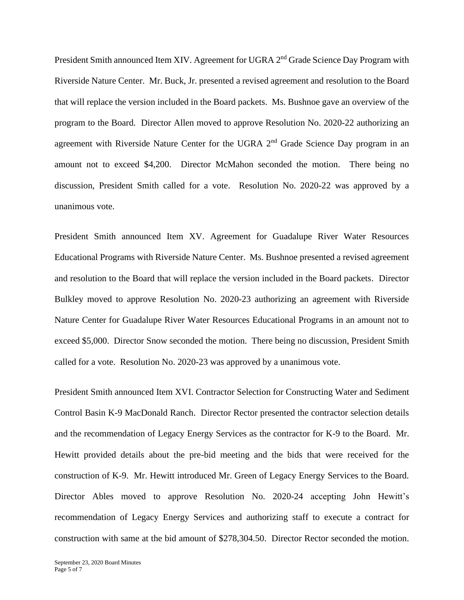President Smith announced Item XIV. Agreement for UGRA 2<sup>nd</sup> Grade Science Day Program with Riverside Nature Center. Mr. Buck, Jr. presented a revised agreement and resolution to the Board that will replace the version included in the Board packets. Ms. Bushnoe gave an overview of the program to the Board. Director Allen moved to approve Resolution No. 2020-22 authorizing an agreement with Riverside Nature Center for the UGRA 2<sup>nd</sup> Grade Science Day program in an amount not to exceed \$4,200. Director McMahon seconded the motion. There being no discussion, President Smith called for a vote. Resolution No. 2020-22 was approved by a unanimous vote.

President Smith announced Item XV. Agreement for Guadalupe River Water Resources Educational Programs with Riverside Nature Center. Ms. Bushnoe presented a revised agreement and resolution to the Board that will replace the version included in the Board packets. Director Bulkley moved to approve Resolution No. 2020-23 authorizing an agreement with Riverside Nature Center for Guadalupe River Water Resources Educational Programs in an amount not to exceed \$5,000. Director Snow seconded the motion. There being no discussion, President Smith called for a vote. Resolution No. 2020-23 was approved by a unanimous vote.

President Smith announced Item XVI. Contractor Selection for Constructing Water and Sediment Control Basin K-9 MacDonald Ranch. Director Rector presented the contractor selection details and the recommendation of Legacy Energy Services as the contractor for K-9 to the Board. Mr. Hewitt provided details about the pre-bid meeting and the bids that were received for the construction of K-9. Mr. Hewitt introduced Mr. Green of Legacy Energy Services to the Board. Director Ables moved to approve Resolution No. 2020-24 accepting John Hewitt's recommendation of Legacy Energy Services and authorizing staff to execute a contract for construction with same at the bid amount of \$278,304.50. Director Rector seconded the motion.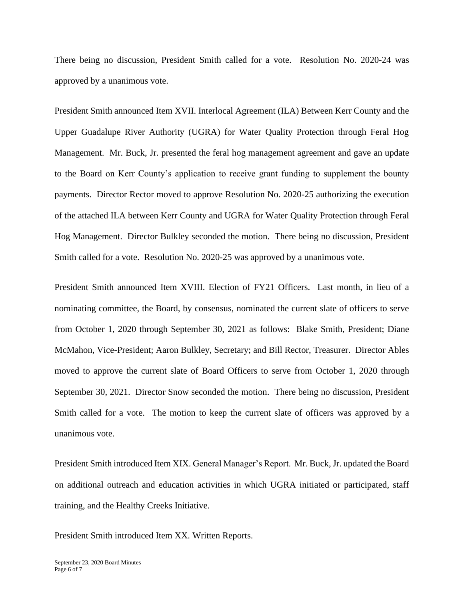There being no discussion, President Smith called for a vote. Resolution No. 2020-24 was approved by a unanimous vote.

President Smith announced Item XVII. Interlocal Agreement (ILA) Between Kerr County and the Upper Guadalupe River Authority (UGRA) for Water Quality Protection through Feral Hog Management. Mr. Buck, Jr. presented the feral hog management agreement and gave an update to the Board on Kerr County's application to receive grant funding to supplement the bounty payments. Director Rector moved to approve Resolution No. 2020-25 authorizing the execution of the attached ILA between Kerr County and UGRA for Water Quality Protection through Feral Hog Management. Director Bulkley seconded the motion. There being no discussion, President Smith called for a vote. Resolution No. 2020-25 was approved by a unanimous vote.

President Smith announced Item XVIII. Election of FY21 Officers. Last month, in lieu of a nominating committee, the Board, by consensus, nominated the current slate of officers to serve from October 1, 2020 through September 30, 2021 as follows: Blake Smith, President; Diane McMahon, Vice-President; Aaron Bulkley, Secretary; and Bill Rector, Treasurer. Director Ables moved to approve the current slate of Board Officers to serve from October 1, 2020 through September 30, 2021. Director Snow seconded the motion. There being no discussion, President Smith called for a vote. The motion to keep the current slate of officers was approved by a unanimous vote.

President Smith introduced Item XIX. General Manager's Report. Mr. Buck, Jr. updated the Board on additional outreach and education activities in which UGRA initiated or participated, staff training, and the Healthy Creeks Initiative.

President Smith introduced Item XX. Written Reports.